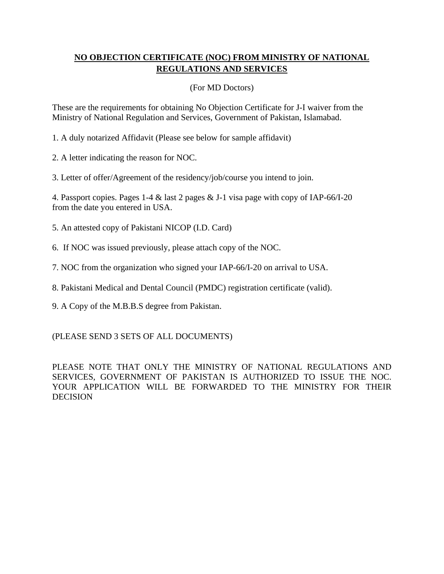## **NO OBJECTION CERTIFICATE (NOC) FROM MINISTRY OF NATIONAL REGULATIONS AND SERVICES**

## (For MD Doctors)

These are the requirements for obtaining No Objection Certificate for J-I waiver from the Ministry of National Regulation and Services, Government of Pakistan, Islamabad.

1. A duly notarized Affidavit (Please see below for sample affidavit)

2. A letter indicating the reason for NOC.

3. Letter of offer/Agreement of the residency/job/course you intend to join.

4. Passport copies. Pages 1-4 & last 2 pages & J-1 visa page with copy of IAP-66/I-20 from the date you entered in USA.

- 5. An attested copy of Pakistani NICOP (I.D. Card)
- 6. If NOC was issued previously, please attach copy of the NOC.

7. NOC from the organization who signed your IAP-66/I-20 on arrival to USA.

8. Pakistani Medical and Dental Council (PMDC) registration certificate (valid).

9. A Copy of the M.B.B.S degree from Pakistan.

(PLEASE SEND 3 SETS OF ALL DOCUMENTS)

PLEASE NOTE THAT ONLY THE MINISTRY OF NATIONAL REGULATIONS AND SERVICES, GOVERNMENT OF PAKISTAN IS AUTHORIZED TO ISSUE THE NOC. YOUR APPLICATION WILL BE FORWARDED TO THE MINISTRY FOR THEIR **DECISION**